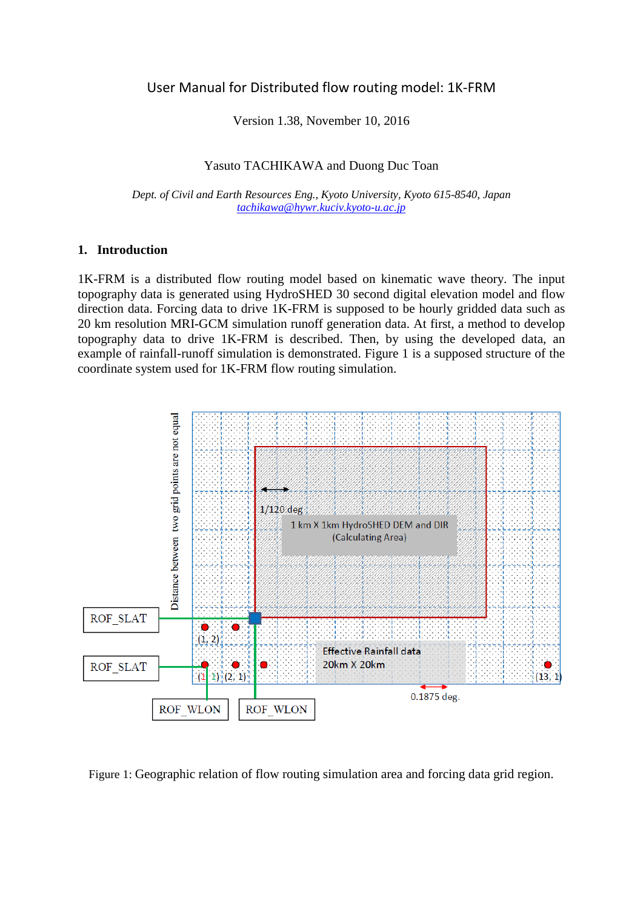# User Manual for Distributed flow routing model: 1K-FRM

Version 1.38, November 10, 2016

#### Yasuto TACHIKAWA and Duong Duc Toan

*Dept. of Civil and Earth Resources Eng., Kyoto University, Kyoto 615-8540, Japan [tachikawa@hywr.kuciv.kyoto-u.ac.jp](mailto:tachikawa@hywr.kuciv.kyoto-u.ac.jp)*

#### **1. Introduction**

1K-FRM is a distributed flow routing model based on kinematic wave theory. The input topography data is generated using HydroSHED 30 second digital elevation model and flow direction data. Forcing data to drive 1K-FRM is supposed to be hourly gridded data such as 20 km resolution MRI-GCM simulation runoff generation data. At first, a method to develop topography data to drive 1K-FRM is described. Then, by using the developed data, an example of rainfall-runoff simulation is demonstrated. Figure 1 is a supposed structure of the coordinate system used for 1K-FRM flow routing simulation.



Figure 1: Geographic relation of flow routing simulation area and forcing data grid region.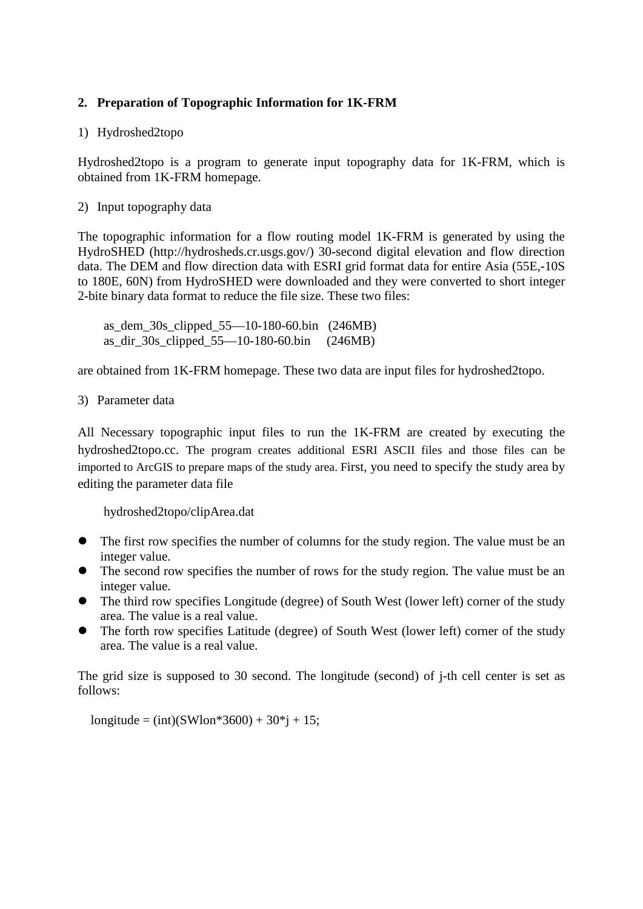# **2. Preparation of Topographic Information for 1K-FRM**

### 1) Hydroshed2topo

Hydroshed2topo is a program to generate input topography data for 1K-FRM, which is obtained from 1K-FRM homepage.

### 2) Input topography data

The topographic information for a flow routing model 1K-FRM is generated by using the HydroSHED (http://hydrosheds.cr.usgs.gov/) 30-second digital elevation and flow direction data. The DEM and flow direction data with ESRI grid format data for entire Asia (55E,-10S to 180E, 60N) from HydroSHED were downloaded and they were converted to short integer 2-bite binary data format to reduce the file size. These two files:

as dem  $30s$  clipped  $55-10-180-60$ .bin (246MB) as dir 30s clipped  $55-10-180-60$ .bin (246MB)

are obtained from 1K-FRM homepage. These two data are input files for hydroshed2topo.

3) Parameter data

All Necessary topographic input files to run the 1K-FRM are created by executing the hydroshed2topo.cc. The program creates additional ESRI ASCII files and those files can be imported to ArcGIS to prepare maps of the study area. First, you need to specify the study area by editing the parameter data file

hydroshed2topo/clipArea.dat

- The first row specifies the number of columns for the study region. The value must be an integer value.
- The second row specifies the number of rows for the study region. The value must be an integer value.
- The third row specifies Longitude (degree) of South West (lower left) corner of the study area. The value is a real value.
- The forth row specifies Latitude (degree) of South West (lower left) corner of the study area. The value is a real value.

The grid size is supposed to 30 second. The longitude (second) of j-th cell center is set as follows:

longitude =  $(int)(SWlon*3600) + 30*j + 15;$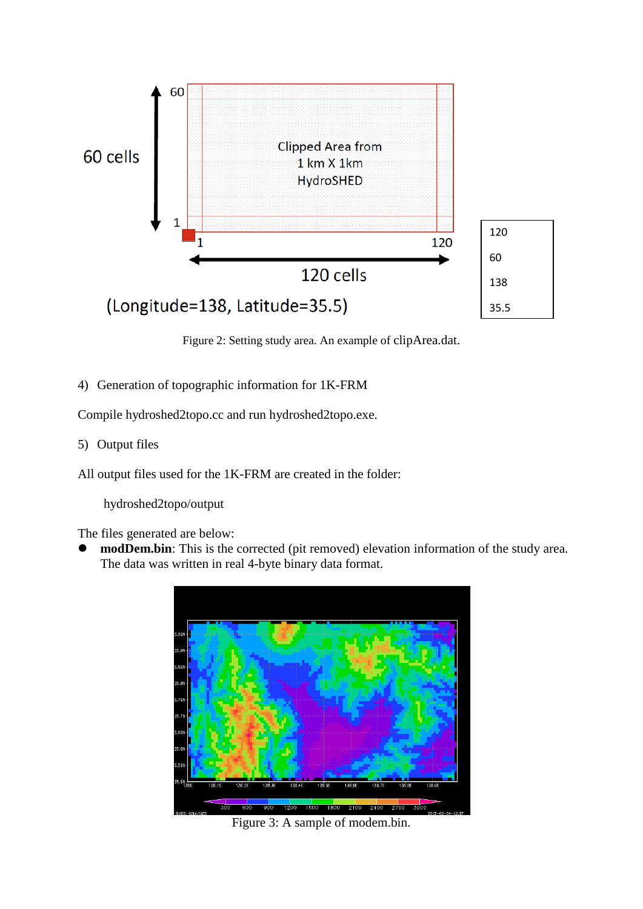

Figure 2: Setting study area. An example of clipArea.dat.

4) Generation of topographic information for 1K-FRM

Compile hydroshed2topo.cc and run hydroshed2topo.exe.

5) Output files

All output files used for the 1K-FRM are created in the folder:

hydroshed2topo/output

The files generated are below:

 **modDem.bin**: This is the corrected (pit removed) elevation information of the study area. The data was written in real 4-byte binary data format.



Figure 3: A sample of modem.bin.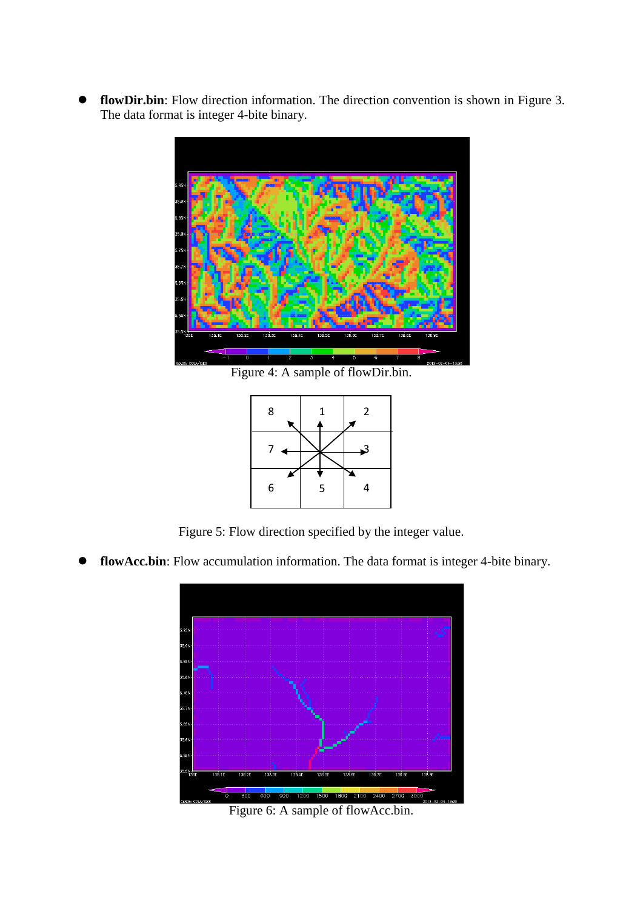**flowDir.bin**: Flow direction information. The direction convention is shown in Figure 3. The data format is integer 4-bite binary.



Figure 4: A sample of flowDir.bin.



Figure 5: Flow direction specified by the integer value.

**flowAcc.bin**: Flow accumulation information. The data format is integer 4-bite binary.



Figure 6: A sample of flowAcc.bin.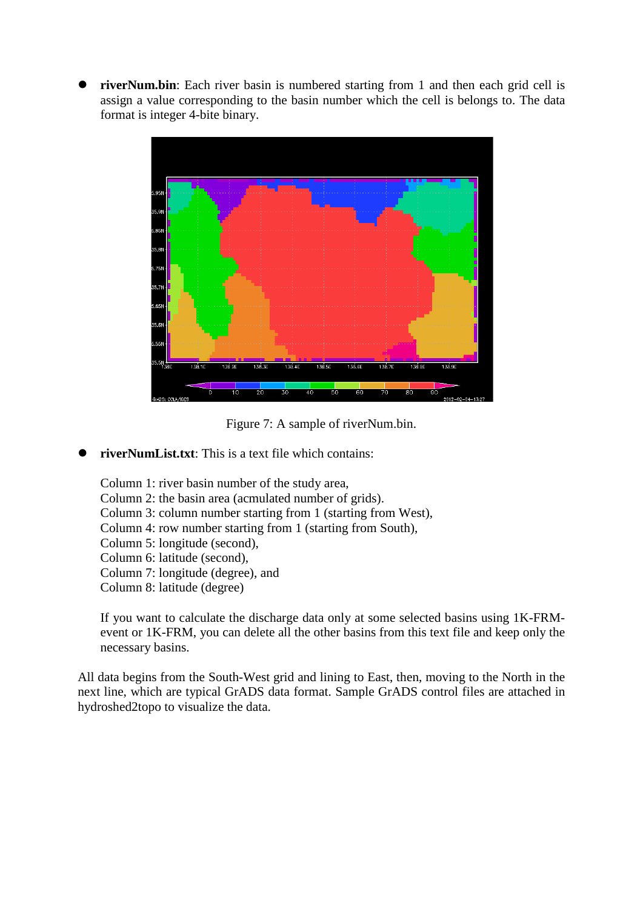**• riverNum.bin**: Each river basin is numbered starting from 1 and then each grid cell is assign a value corresponding to the basin number which the cell is belongs to. The data format is integer 4-bite binary.



Figure 7: A sample of riverNum.bin.

**riverNumList.txt**: This is a text file which contains:

Column 1: river basin number of the study area, Column 2: the basin area (acmulated number of grids). Column 3: column number starting from 1 (starting from West), Column 4: row number starting from 1 (starting from South), Column 5: longitude (second), Column 6: latitude (second), Column 7: longitude (degree), and Column 8: latitude (degree)

If you want to calculate the discharge data only at some selected basins using 1K-FRMevent or 1K-FRM, you can delete all the other basins from this text file and keep only the necessary basins.

All data begins from the South-West grid and lining to East, then, moving to the North in the next line, which are typical GrADS data format. Sample GrADS control files are attached in hydroshed2topo to visualize the data.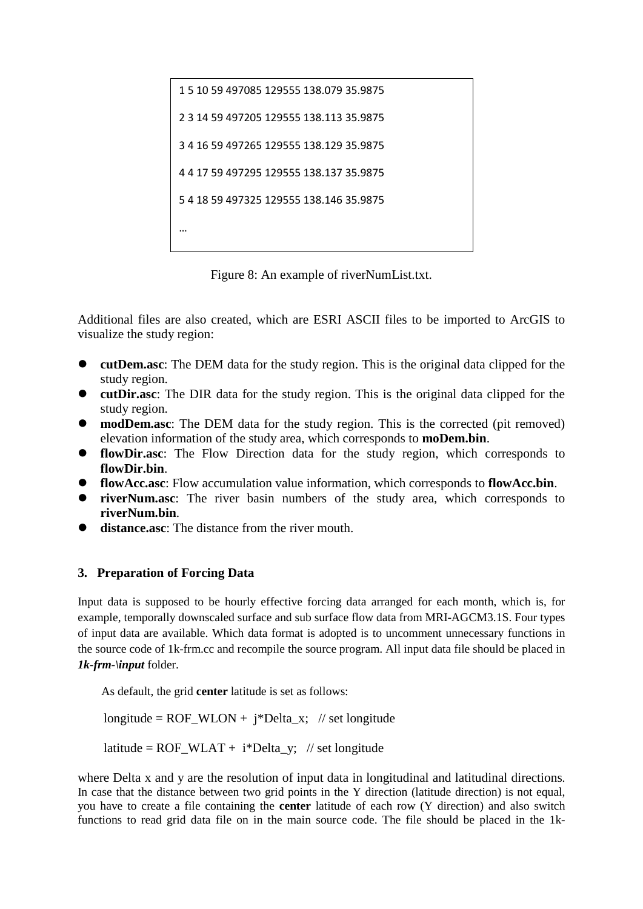```
1 5 10 59 497085 129555 138.079 35.9875
2 3 14 59 497205 129555 138.113 35.9875
3 4 16 59 497265 129555 138.129 35.9875
4 4 17 59 497295 129555 138.137 35.9875
5 4 18 59 497325 129555 138.146 35.9875
…
```
Figure 8: An example of riverNumList.txt.

Additional files are also created, which are ESRI ASCII files to be imported to ArcGIS to visualize the study region:

- **cutDem.asc**: The DEM data for the study region. This is the original data clipped for the study region.
- **cutDir.asc**: The DIR data for the study region. This is the original data clipped for the study region.
- **modDem.asc**: The DEM data for the study region. This is the corrected (pit removed) elevation information of the study area, which corresponds to **moDem.bin**.
- **flowDir.asc**: The Flow Direction data for the study region, which corresponds to **flowDir.bin**.
- **flowAcc.asc**: Flow accumulation value information, which corresponds to **flowAcc.bin**.
- **riverNum.asc**: The river basin numbers of the study area, which corresponds to **riverNum.bin**.
- **distance.asc**: The distance from the river mouth.

# **3. Preparation of Forcing Data**

Input data is supposed to be hourly effective forcing data arranged for each month, which is, for example, temporally downscaled surface and sub surface flow data from MRI-AGCM3.1S. Four types of input data are available. Which data format is adopted is to uncomment unnecessary functions in the source code of 1k-frm.cc and recompile the source program. All input data file should be placed in *1k-frm-\input* folder.

As default, the grid **center** latitude is set as follows:

longitude =  $ROF_WLON + i^*Delta_x$ ; // set longitude

latitude =  $ROF_WLAT + i^*Delta_y$ ; // set longitude

where Delta x and y are the resolution of input data in longitudinal and latitudinal directions. In case that the distance between two grid points in the Y direction (latitude direction) is not equal, you have to create a file containing the **center** latitude of each row (Y direction) and also switch functions to read grid data file on in the main source code. The file should be placed in the 1k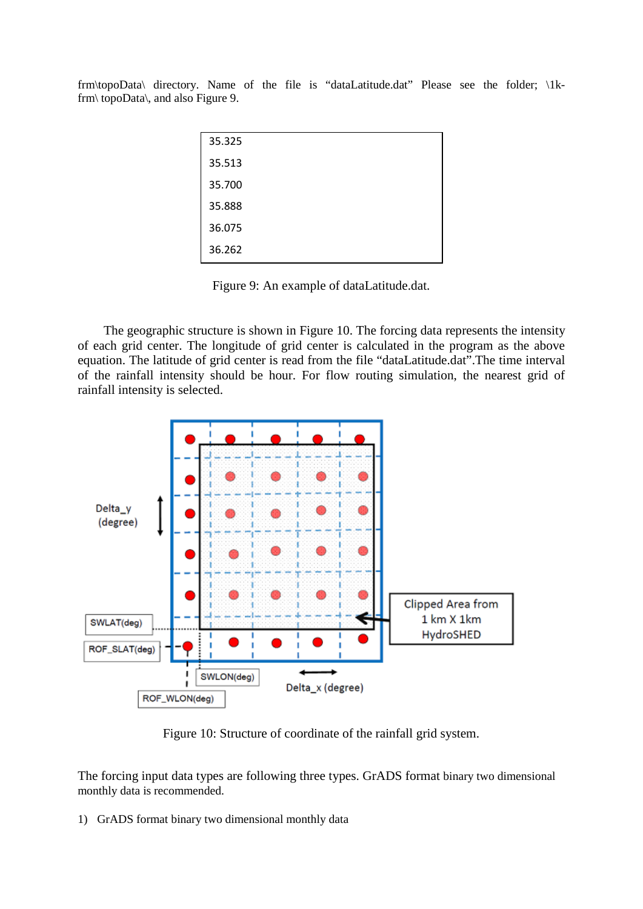frm\topoData\ directory. Name of the file is "dataLatitude.dat" Please see the folder; \1kfrm\ topoData\, and also Figure 9.

| 35.325 |  |
|--------|--|
| 35.513 |  |
| 35.700 |  |
| 35.888 |  |
| 36.075 |  |
| 36.262 |  |

Figure 9: An example of dataLatitude.dat.

The geographic structure is shown in Figure 10. The forcing data represents the intensity of each grid center. The longitude of grid center is calculated in the program as the above equation. The latitude of grid center is read from the file "dataLatitude.dat".The time interval of the rainfall intensity should be hour. For flow routing simulation, the nearest grid of rainfall intensity is selected.



Figure 10: Structure of coordinate of the rainfall grid system.

The forcing input data types are following three types. GrADS format binary two dimensional monthly data is recommended.

1) GrADS format binary two dimensional monthly data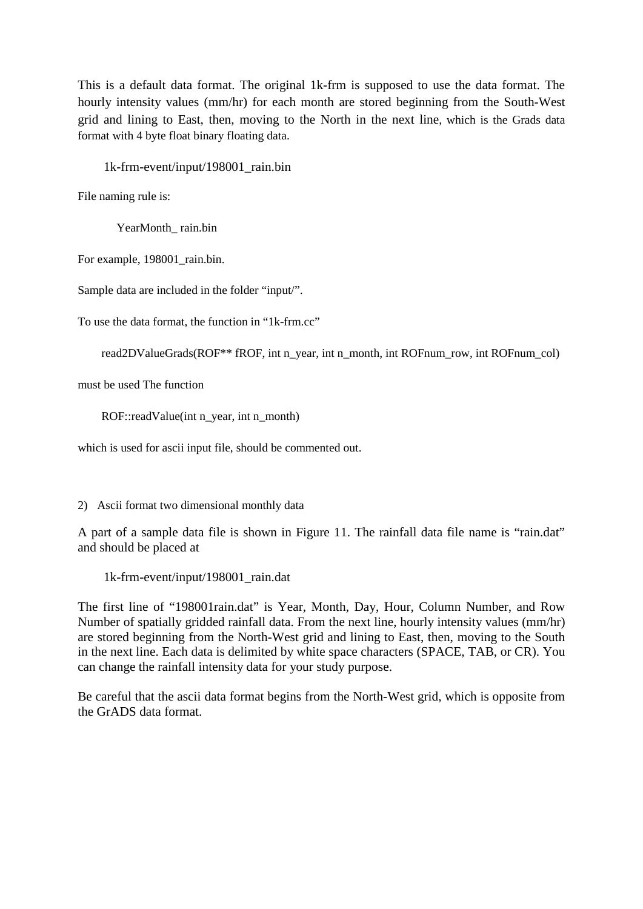This is a default data format. The original 1k-frm is supposed to use the data format. The hourly intensity values (mm/hr) for each month are stored beginning from the South-West grid and lining to East, then, moving to the North in the next line, which is the Grads data format with 4 byte float binary floating data.

1k-frm-event/input/198001\_rain.bin

File naming rule is:

YearMonth\_ rain.bin

For example, 198001\_rain.bin.

Sample data are included in the folder "input/".

To use the data format, the function in "1k-frm.cc"

```
read2DValueGrads(ROF<sup>**</sup> fROF, int n_year, int n_month, int ROFnum_row, int ROFnum_col)
```
must be used The function

ROF::readValue(int n\_year, int n\_month)

which is used for ascii input file, should be commented out.

2) Ascii format two dimensional monthly data

A part of a sample data file is shown in Figure 11. The rainfall data file name is "rain.dat" and should be placed at

1k-frm-event/input/198001\_rain.dat

The first line of "198001rain.dat" is Year, Month, Day, Hour, Column Number, and Row Number of spatially gridded rainfall data. From the next line, hourly intensity values (mm/hr) are stored beginning from the North-West grid and lining to East, then, moving to the South in the next line. Each data is delimited by white space characters (SPACE, TAB, or CR). You can change the rainfall intensity data for your study purpose.

Be careful that the ascii data format begins from the North-West grid, which is opposite from the GrADS data format.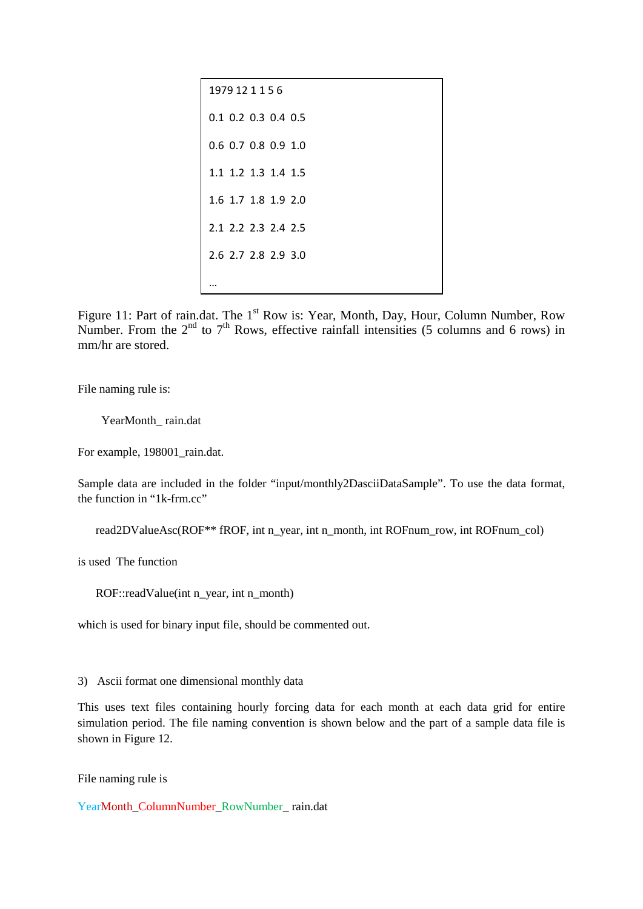| 1979 12 1 1 5 6       |
|-----------------------|
| $0.1$ 0.2 0.3 0.4 0.5 |
| 0.6 0.7 0.8 0.9 1.0   |
| 1.1 1.2 1.3 1.4 1.5   |
| 1.6 1.7 1.8 1.9 2.0   |
| 2.1 2.2 2.3 2.4 2.5   |
| 2.6 2.7 2.8 2.9 3.0   |
|                       |

Figure 11: Part of rain.dat. The 1<sup>st</sup> Row is: Year, Month, Day, Hour, Column Number, Row Number. From the  $2<sup>nd</sup>$  to  $7<sup>th</sup>$  Rows, effective rainfall intensities (5 columns and 6 rows) in mm/hr are stored.

File naming rule is:

YearMonth\_rain.dat

For example, 198001\_rain.dat.

Sample data are included in the folder "input/monthly2DasciiDataSample". To use the data format, the function in "1k-frm.cc"

read2DValueAsc(ROF\*\* fROF, int n\_year, int n\_month, int ROFnum\_row, int ROFnum\_col)

is used The function

ROF::readValue(int n\_year, int n\_month)

which is used for binary input file, should be commented out.

3) Ascii format one dimensional monthly data

This uses text files containing hourly forcing data for each month at each data grid for entire simulation period. The file naming convention is shown below and the part of a sample data file is shown in Figure 12.

File naming rule is

YearMonth\_ColumnNumber\_RowNumber\_ rain.dat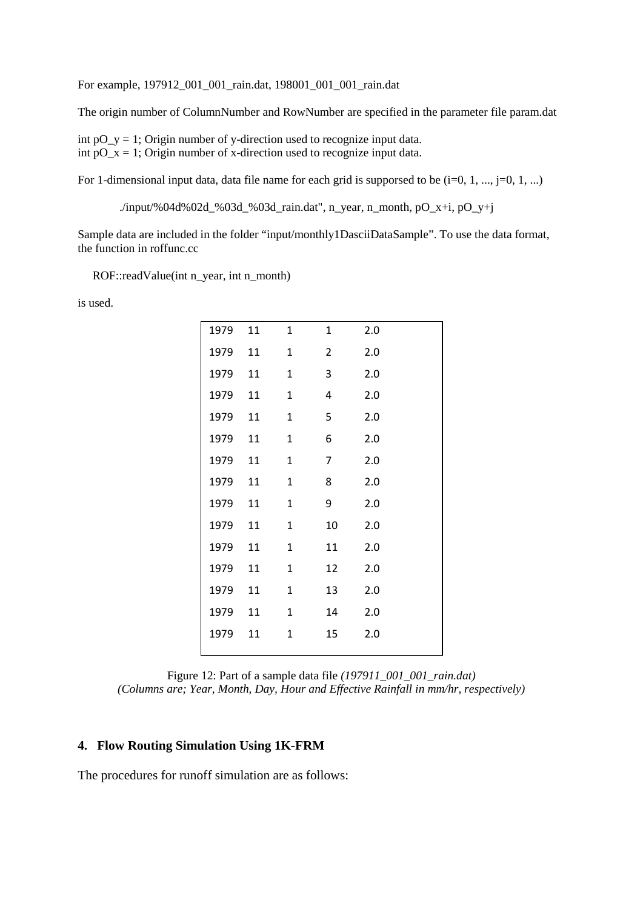For example, 197912\_001\_001\_rain.dat, 198001\_001\_001\_rain.dat

The origin number of ColumnNumber and RowNumber are specified in the parameter file param.dat

int  $pO_y = 1$ ; Origin number of y-direction used to recognize input data. int  $pO_x = 1$ ; Origin number of x-direction used to recognize input data.

For 1-dimensional input data, data file name for each grid is supporsed to be  $(i=0, 1, ..., i=0, 1, ...)$ 

./input/%04d%02d\_%03d\_%03d\_rain.dat", n\_year, n\_month, pO\_x+i, pO\_y+j

Sample data are included in the folder "input/monthly1DasciiDataSample". To use the data format, the function in roffunc.cc

ROF::readValue(int n\_year, int n\_month)

is used.

| 1979 | 11 | $\mathbf{1}$ | 1              | 2.0 |
|------|----|--------------|----------------|-----|
| 1979 | 11 | $\mathbf{1}$ | 2              | 2.0 |
| 1979 | 11 | 1            | 3              | 2.0 |
| 1979 | 11 | $\mathbf{1}$ | 4              | 2.0 |
| 1979 | 11 | $\mathbf{1}$ | 5              | 2.0 |
| 1979 | 11 | $\mathbf{1}$ | 6              | 2.0 |
| 1979 | 11 | $\mathbf{1}$ | $\overline{7}$ | 2.0 |
| 1979 | 11 | $\mathbf{1}$ | 8              | 2.0 |
| 1979 | 11 | $\mathbf{1}$ | 9              | 2.0 |
| 1979 | 11 | $\mathbf{1}$ | 10             | 2.0 |
| 1979 | 11 | $\mathbf{1}$ | 11             | 2.0 |
| 1979 | 11 | $\mathbf{1}$ | 12             | 2.0 |
| 1979 | 11 | $\mathbf{1}$ | 13             | 2.0 |
| 1979 | 11 | 1            | 14             | 2.0 |
| 1979 | 11 | $\mathbf{1}$ | 15             | 2.0 |
|      |    |              |                |     |

Figure 12: Part of a sample data file *(197911\_001\_001\_rain.dat) (Columns are; Year, Month, Day, Hour and Effective Rainfall in mm/hr, respectively)* 

#### **4. Flow Routing Simulation Using 1K-FRM**

The procedures for runoff simulation are as follows: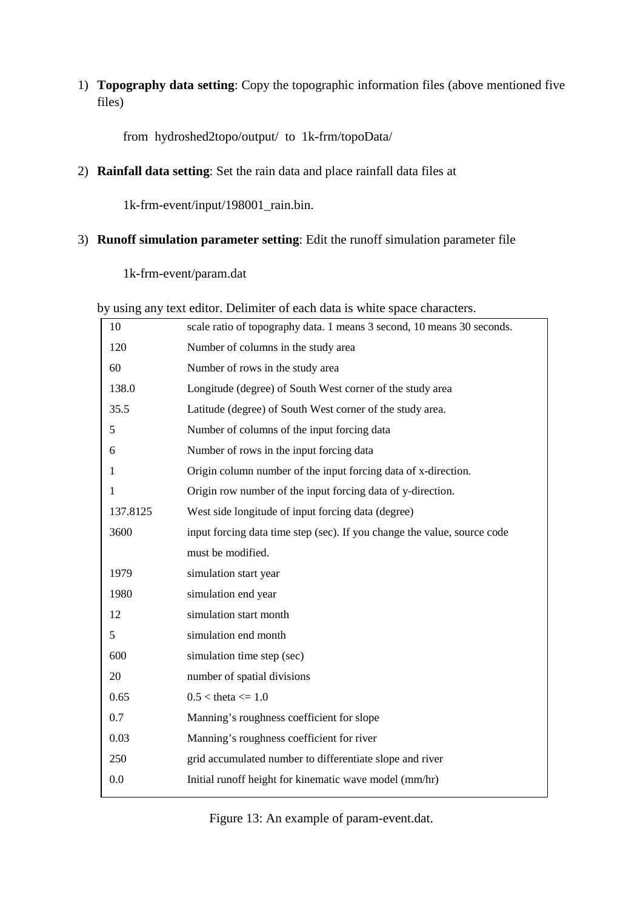1) **Topography data setting**: Copy the topographic information files (above mentioned five files)

from hydroshed2topo/output/ to 1k-frm/topoData/

2) **Rainfall data setting**: Set the rain data and place rainfall data files at

1k-frm-event/input/198001\_rain.bin.

# 3) **Runoff simulation parameter setting**: Edit the runoff simulation parameter file

1k-frm-event/param.dat

by using any text editor. Delimiter of each data is white space characters.

| 10       | scale ratio of topography data. 1 means 3 second, 10 means 30 seconds.   |
|----------|--------------------------------------------------------------------------|
| 120      | Number of columns in the study area                                      |
| 60       | Number of rows in the study area                                         |
| 138.0    | Longitude (degree) of South West corner of the study area                |
| 35.5     | Latitude (degree) of South West corner of the study area.                |
| 5        | Number of columns of the input forcing data                              |
| 6        | Number of rows in the input forcing data                                 |
| 1        | Origin column number of the input forcing data of x-direction.           |
| 1        | Origin row number of the input forcing data of y-direction.              |
| 137.8125 | West side longitude of input forcing data (degree)                       |
| 3600     | input forcing data time step (sec). If you change the value, source code |
|          | must be modified.                                                        |
| 1979     | simulation start year                                                    |
| 1980     | simulation end year                                                      |
| 12       | simulation start month                                                   |
| 5        | simulation end month                                                     |
| 600      | simulation time step (sec)                                               |
| 20       | number of spatial divisions                                              |
| 0.65     | $0.5 <$ theta $\leq 1.0$                                                 |
| 0.7      | Manning's roughness coefficient for slope                                |
| 0.03     | Manning's roughness coefficient for river                                |
| 250      | grid accumulated number to differentiate slope and river                 |
| 0.0      | Initial runoff height for kinematic wave model (mm/hr)                   |
|          |                                                                          |

Figure 13: An example of param-event.dat.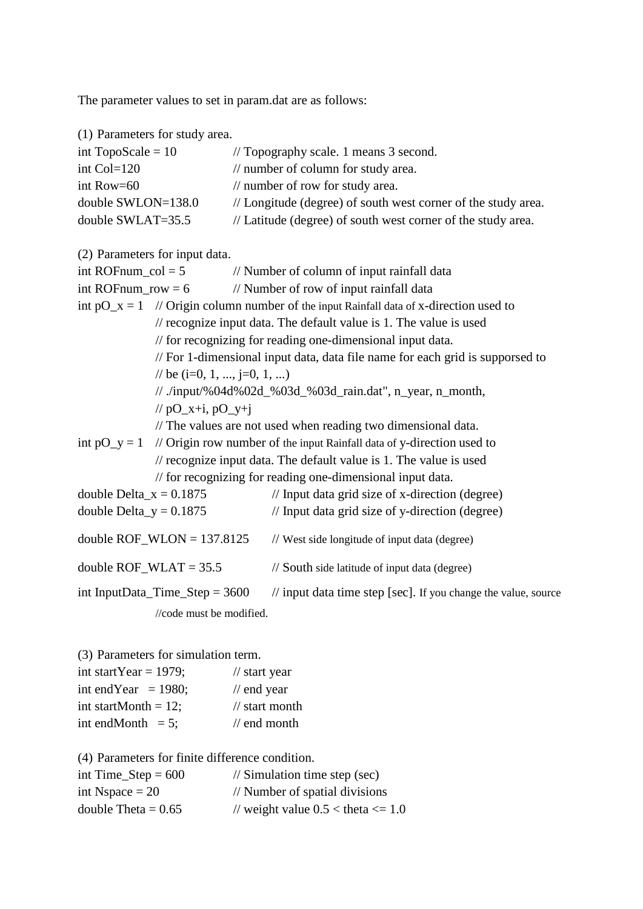The parameter values to set in param.dat are as follows:

| (1) Parameters for study area.   |                                                                                          |  |
|----------------------------------|------------------------------------------------------------------------------------------|--|
| int TopoScale = $10$             | // Topography scale. 1 means 3 second.                                                   |  |
| int Col=120                      | // number of column for study area.                                                      |  |
| int Row=60                       | // number of row for study area.                                                         |  |
| double SWLON=138.0               | // Longitude (degree) of south west corner of the study area.                            |  |
| double SWLAT=35.5                | // Latitude (degree) of south west corner of the study area.                             |  |
|                                  |                                                                                          |  |
| (2) Parameters for input data.   |                                                                                          |  |
| int ROFnum_col = $5$             | // Number of column of input rainfall data                                               |  |
| int ROF num_row = $6$            | // Number of row of input rainfall data                                                  |  |
|                                  | int $pO_x = 1$ // Origin column number of the input Rainfall data of x-direction used to |  |
|                                  | // recognize input data. The default value is 1. The value is used                       |  |
|                                  | // for recognizing for reading one-dimensional input data.                               |  |
|                                  | // For 1-dimensional input data, data file name for each grid is supporsed to            |  |
| // be $(i=0, 1, , j=0, 1, )$     |                                                                                          |  |
|                                  | // ./input/%04d%02d_%03d_%03d_rain.dat", n_year, n_month,                                |  |
| // $pO_x+i$ , $pO_y+i$           |                                                                                          |  |
|                                  | // The values are not used when reading two dimensional data.                            |  |
| int $pO_y = 1$                   | // Origin row number of the input Rainfall data of y-direction used to                   |  |
|                                  | // recognize input data. The default value is 1. The value is used                       |  |
|                                  | // for recognizing for reading one-dimensional input data.                               |  |
| double Delta_ $x = 0.1875$       | // Input data grid size of x-direction (degree)                                          |  |
| double Delta_y = $0.1875$        | // Input data grid size of y-direction (degree)                                          |  |
| double ROF_WLON = $137.8125$     | // West side longitude of input data (degree)                                            |  |
| double $ROF_WLAT = 35.5$         | // South side latitude of input data (degree)                                            |  |
| int InputData_Time_Step = $3600$ | // input data time step [sec]. If you change the value, source                           |  |
| //code must be modified.         |                                                                                          |  |
|                                  |                                                                                          |  |
|                                  |                                                                                          |  |

(3) Parameters for simulation term.

| int startYear = $1979$ ; | $\frac{1}{2}$ start year  |
|--------------------------|---------------------------|
| int end Year = $1980$ ;  | $\frac{1}{2}$ end year    |
| int startMonth = $12$ ;  | $\frac{1}{3}$ start month |
| int endMonth $= 5$ ;     | $\frac{1}{2}$ end month   |

(4) Parameters for finite difference condition.

| int Time_Step = $600$ | $\frac{1}{2}$ Simulation time step (sec) |
|-----------------------|------------------------------------------|
| int Nspace $= 20$     | // Number of spatial divisions           |
| double Theta = $0.65$ | // weight value $0.5 <$ theta $\leq 1.0$ |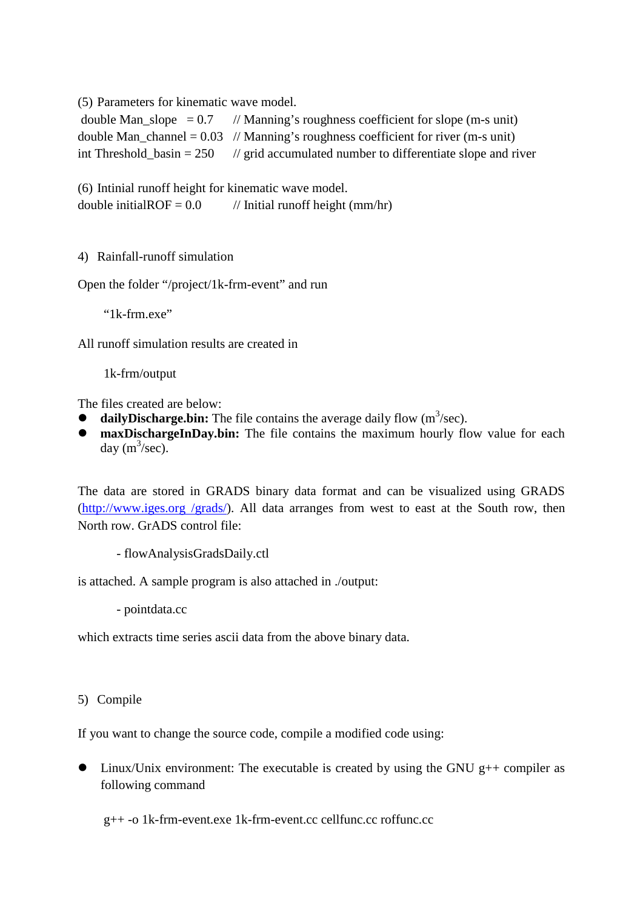(5) Parameters for kinematic wave model.

| double Man_slope = $0.7$ // Manning's roughness coefficient for slope (m-s unit)        |
|-----------------------------------------------------------------------------------------|
| double Man_channel = $0.03$ // Manning's roughness coefficient for river (m-s unit)     |
| int Threshold basin = $250$ // grid accumulated number to differentiate slope and river |

(6) Intinial runoff height for kinematic wave model. double initialROF =  $0.0$  // Initial runoff height (mm/hr)

4) Rainfall-runoff simulation

Open the folder "/project/1k-frm-event" and run

"1k-frm.exe"

All runoff simulation results are created in

1k-frm/output

The files created are below:

- $\bullet$  daily Discharge.bin: The file contains the average daily flow  $(m^3/sec)$ .
- **maxDischargeInDay.bin:** The file contains the maximum hourly flow value for each day  $(m^3/sec)$ .

The data are stored in GRADS binary data format and can be visualized using GRADS (http://www.iges.org /grads/). All data arranges from west to east at the South row, then North row. GrADS control file:

- flowAnalysisGradsDaily.ctl

is attached. A sample program is also attached in ./output:

- pointdata.cc

which extracts time series ascii data from the above binary data.

5) Compile

If you want to change the source code, compile a modified code using:

 $\bullet$  Linux/Unix environment: The executable is created by using the GNU g++ compiler as following command

g++ -o 1k-frm-event.exe 1k-frm-event.cc cellfunc.cc roffunc.cc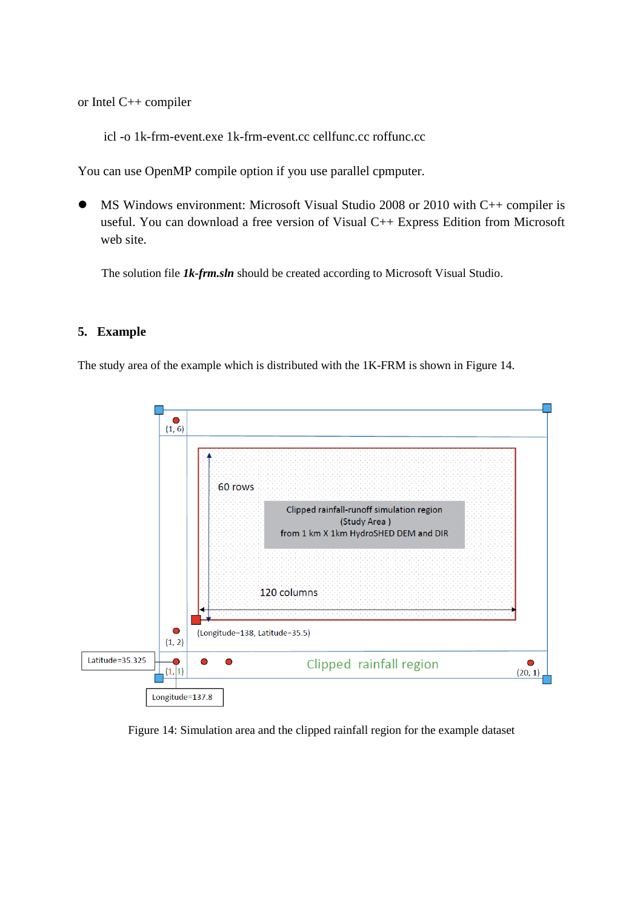or Intel C++ compiler

icl -o 1k-frm-event.exe 1k-frm-event.cc cellfunc.cc roffunc.cc

You can use OpenMP compile option if you use parallel cpmputer.

 MS Windows environment: Microsoft Visual Studio 2008 or 2010 with C++ compiler is useful. You can download a free version of Visual C++ Express Edition from Microsoft web site.

The solution file *1k-frm.sln* should be created according to Microsoft Visual Studio.

#### **5. Example**

The study area of the example which is distributed with the 1K-FRM is shown in Figure 14.



Figure 14: Simulation area and the clipped rainfall region for the example dataset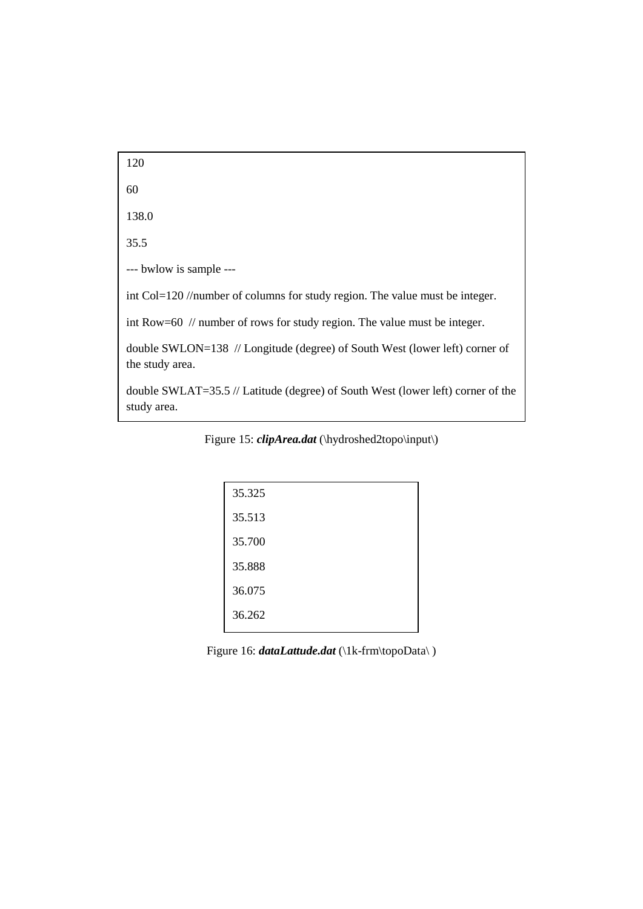120 60 138.0 35.5 --- bwlow is sample -- int Col=120 //number of columns for study region. The value must be integer. int Row=60 // number of rows for study region. The value must be integer. double SWLON=138 // Longitude (degree) of South West (lower left) corner of the study area. double SWLAT=35.5 // Latitude (degree) of South West (lower left) corner of the study area.

Figure 15: *clipArea.dat* (\hydroshed2topo\input\)

| 35.325 |  |
|--------|--|
| 35.513 |  |
| 35.700 |  |
| 35.888 |  |
| 36.075 |  |
| 36.262 |  |

Figure 16: *dataLattude.dat* (\1k-frm\topoData\)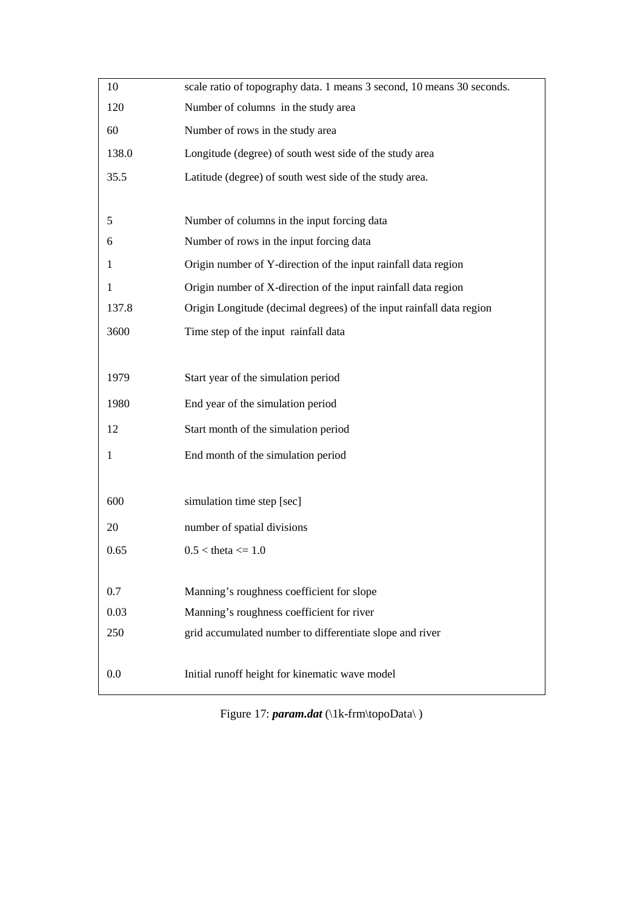| 10           | scale ratio of topography data. 1 means 3 second, 10 means 30 seconds. |
|--------------|------------------------------------------------------------------------|
| 120          | Number of columns in the study area                                    |
| 60           | Number of rows in the study area                                       |
| 138.0        | Longitude (degree) of south west side of the study area                |
| 35.5         | Latitude (degree) of south west side of the study area.                |
|              |                                                                        |
| 5            | Number of columns in the input forcing data                            |
| 6            | Number of rows in the input forcing data                               |
| 1            | Origin number of Y-direction of the input rainfall data region         |
| 1            | Origin number of X-direction of the input rainfall data region         |
| 137.8        | Origin Longitude (decimal degrees) of the input rainfall data region   |
| 3600         | Time step of the input rainfall data                                   |
|              |                                                                        |
| 1979         | Start year of the simulation period                                    |
| 1980         | End year of the simulation period                                      |
| 12           | Start month of the simulation period                                   |
| $\mathbf{1}$ | End month of the simulation period                                     |
|              |                                                                        |
| 600          | simulation time step [sec]                                             |
| 20           | number of spatial divisions                                            |
| 0.65         | $0.5 <$ theta $\leq 1.0$                                               |
|              |                                                                        |
| 0.7          | Manning's roughness coefficient for slope                              |
| 0.03         | Manning's roughness coefficient for river                              |
| 250          | grid accumulated number to differentiate slope and river               |
|              |                                                                        |
| 0.0          | Initial runoff height for kinematic wave model                         |

Figure 17: *param.dat* (\1k-frm\topoData\)